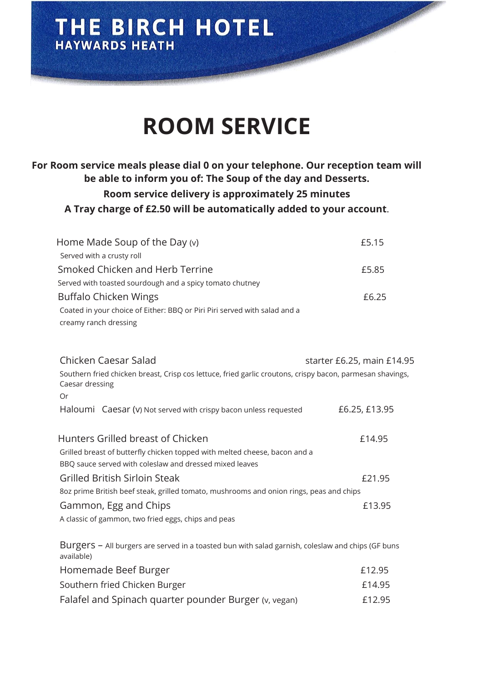### THE BIRCH HOTEL **HAYWARDS HEATH**

Or

## **ROOM SERVICE**

#### **For Room service meals please dial 0 on your telephone. Our reception team will be able to inform you of: The Soup of the day and Desserts. Room service delivery is approximately 25 minutes A Tray charge of £2.50 will be automatically added to your account**.

| Home Made Soup of the Day $(v)$                                                                                              |                            | £5.15 |
|------------------------------------------------------------------------------------------------------------------------------|----------------------------|-------|
| Served with a crusty roll                                                                                                    |                            |       |
| Smoked Chicken and Herb Terrine                                                                                              |                            | £5.85 |
| Served with toasted sourdough and a spicy tomato chutney                                                                     |                            |       |
| Buffalo Chicken Wings                                                                                                        |                            | £6.25 |
| Coated in your choice of Either: BBQ or Piri Piri served with salad and a<br>creamy ranch dressing                           |                            |       |
| Chicken Caesar Salad                                                                                                         | starter £6.25, main £14.95 |       |
| Southern fried chicken breast, Crisp cos lettuce, fried garlic croutons, crispy bacon, parmesan shavings,<br>Caesar dressing |                            |       |

| Haloumi Caesar (v) Not served with crispy bacon unless requested                        | £6.25, £13.95 |
|-----------------------------------------------------------------------------------------|---------------|
| Hunters Grilled breast of Chicken                                                       | £14.95        |
| Grilled breast of butterfly chicken topped with melted cheese, bacon and a              |               |
| BBQ sauce served with coleslaw and dressed mixed leaves                                 |               |
| Grilled British Sirloin Steak                                                           | £21.95        |
| 8oz prime British beef steak, grilled tomato, mushrooms and onion rings, peas and chips |               |
| Gammon, Egg and Chips                                                                   | £13.95        |
| A classic of gammon, two fried eggs, chips and peas                                     |               |
|                                                                                         |               |

Burgers – All burgers are served in a toasted bun with salad garnish, coleslaw and chips (GF buns available) Homemade Beef Burger **Election** 2012-05 Southern fried Chicken Burger **E14.95** Falafel and Spinach quarter pounder Burger (v, vegan) E12.95